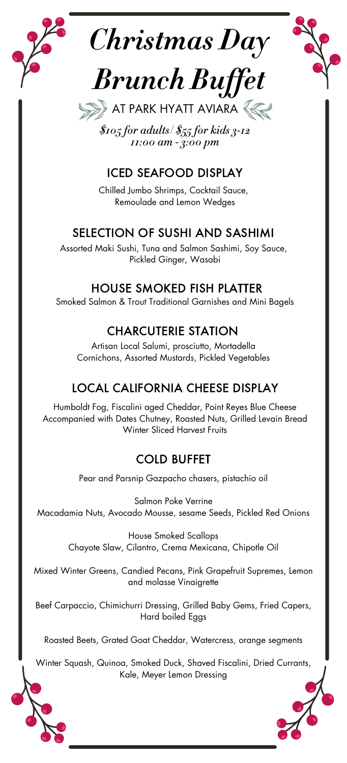





*\$105 for adults/ \$55 for kids 3-12 11:00 am - 3:00 pm*

# ICED SEAFOOD DISPLAY

Chilled Jumbo Shrimps, Cocktail Sauce, Remoulade and Lemon Wedges

# SELECTION OF SUSHI AND SASHIMI

Assorted Maki Sushi, Tuna and Salmon Sashimi, Soy Sauce, Pickled Ginger, Wasabi

### HOUSE SMOKED FISH PLATTER

Smoked Salmon & Trout Traditional Garnishes and Mini Bagels

# CHARCUTERIE STATION

Artisan Local Salumi, prosciutto, Mortadella Cornichons, Assorted Mustards, Pickled Vegetables

# LOCAL CALIFORNIA CHEESE DISPLAY

Humboldt Fog, Fiscalini aged Cheddar, Point Reyes Blue Cheese Accompanied with Dates Chutney, Roasted Nuts, Grilled Levain Bread Winter Sliced Harvest Fruits

# COLD BUFFET

Pear and Parsnip Gazpacho chasers, pistachio oil

Salmon Poke Verrine Macadamia Nuts, Avocado Mousse, sesame Seeds, Pickled Red Onions

> House Smoked Scallops Chayote Slaw, Cilantro, Crema Mexicana, Chipotle Oil

Mixed Winter Greens, Candied Pecans, Pink Grapefruit Supremes, Lemon and molasse Vinaigrette

Beef Carpaccio, Chimichurri Dressing, Grilled Baby Gems, Fried Capers, Hard boiled Eggs

Roasted Beets, Grated Goat Cheddar, Watercress, orange segments

Winter Squash, Quinoa, Smoked Duck, Shaved Fiscalini, Dried Currants, Kale, Meyer Lemon Dressing